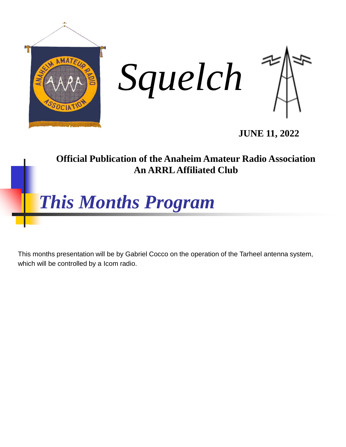

**Official Publication of the Anaheim Amateur Radio Association An ARRL Affiliated Club**



This months presentation will be by Gabriel Cocco on the operation of the Tarheel antenna system, which will be controlled by a Icom radio.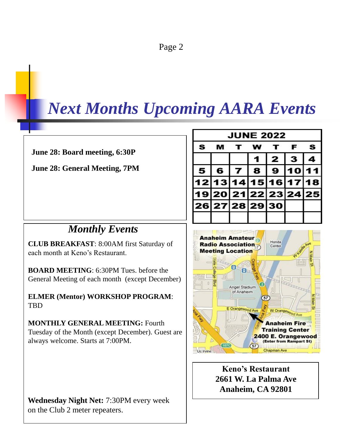# *Next Months Upcoming AARA Events*

#### **June 28: Board meeting, 6:30P**

**June 28: General Meeting, 7PM**

### *Monthly Events*

**CLUB BREAKFAST**: 8:00AM first Saturday of each month at Keno's Restaurant.

**BOARD MEETING**: 6:30PM Tues. before the General Meeting of each month (except December)

**ELMER (Mentor) WORKSHOP PROGRAM**: TBD

**MONTHLY GENERAL MEETING:** Fourth Tuesday of the Month (except December). Guest are always welcome. Starts at 7:00PM.

**Wednesday Night Net:** 7:30PM every week on the Club 2 meter repeaters.

| <b>JUNE 2022</b> |   |       |                      |          |   |   |
|------------------|---|-------|----------------------|----------|---|---|
| S                |   |       |                      |          | F | S |
|                  |   |       |                      | 2        | з |   |
| 5                | 6 | l 7 I | 8                    | 9  10 11 |   |   |
|                  |   |       | 12 13 14 15 16 17 18 |          |   |   |
|                  |   |       | 19 20 21 22 23 24 25 |          |   |   |
|                  |   |       | 26 27 28 29 30       |          |   |   |
|                  |   |       |                      |          |   |   |



**Keno's Restaurant 2661 W. La Palma Ave Anaheim, CA 92801**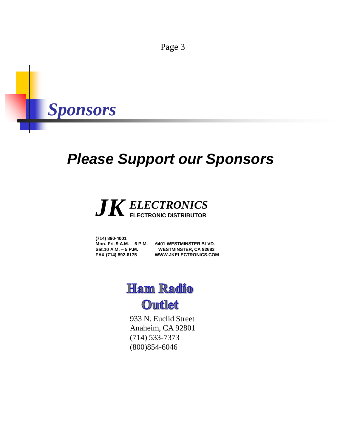

## *Please Support our Sponsors*



**(714) 890-4001**

**Mon.-Fri. 9 A.M. - 6 P.M. 6401 WESTMINSTER BLVD. Sat.10 A.M. – 5 P.M. WESTMINSTER, CA 92683 FAX (714) 892-6175 WWW.JKELECTRONICS.COM**

### **Ham Radio**

**Outlet** 

933 N. Euclid Street Anaheim, CA 92801 (714) 533-7373 (800)854-6046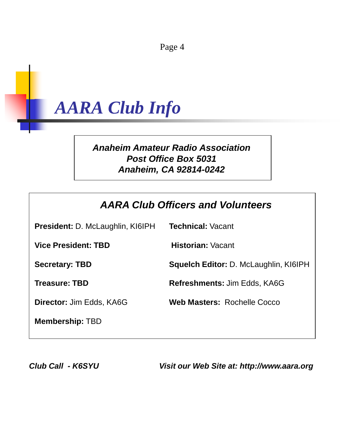

#### *Anaheim Amateur Radio Association Post Office Box 5031 Anaheim, CA 92814-0242*

#### *AARA Club Officers and Volunteers*

**President:** D. McLaughlin, KI6IPH **Technical:** Vacant **Vice President: TBD Historian:** Vacant **Secretary: TBD Squelch Editor:** D. McLaughlin, KI6IPH **Treasure: TBD Refreshments:** Jim Edds, KA6G **Director:** Jim Edds, KA6G **Web Masters:** Rochelle Cocco **Membership:** TBD

*Club Call - K6SYU Visit our Web Site at: http://www.aara.org*